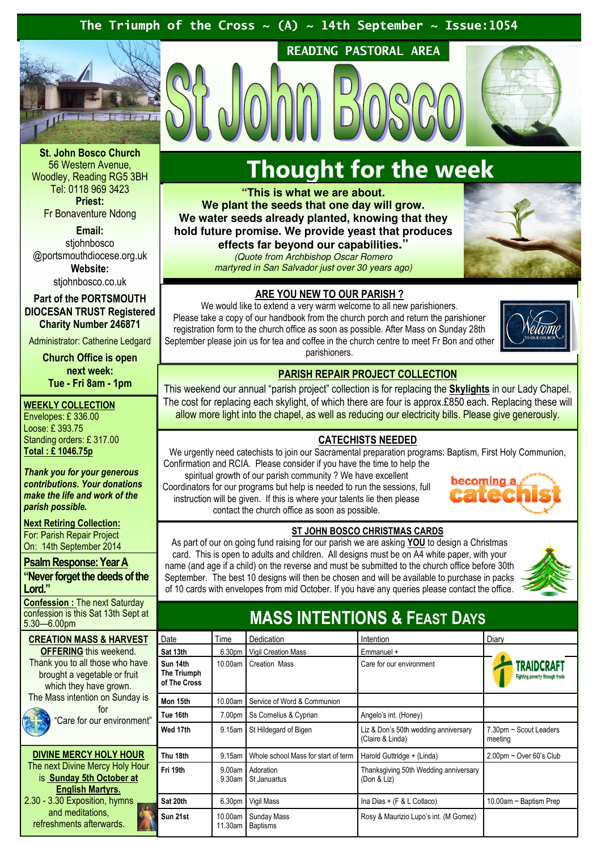### The Triumph of the Cross  $\sim$  (A)  $\sim$  14th September  $\sim$  Issue:1054



St. John Bosco Church 56 Western Avenue, Woodley, Reading RG5 3BH Tel: 0118 969 3423 Priest: Fr Bonaventure Ndong

Email:

stiohnbosco @portsmouthdiocese.org.uk Website:

stjohnbosco.co.uk

Part of the PORTSMOUTH DIOCESAN TRUST Registered Charity Number 246871

Administrator: Catherine Ledgard

Church Office is open next week: Tue - Fri 8am - 1pm

### WEEKLY COLLECTION

Envelopes: £ 336.00 Loose: £ 393.75 Standing orders: £ 317.00 Total : £ 1046.75p

Thank you for your generous contributions. Your donations make the life and work of the parish possible.

**Next Retiring Collection:** For: Parish Repair Project On: 14th September 2014

Psalm Response: Year A "Never forget the deeds of the Lord."

Confession : The next Saturday confession is this Sat 13th Sept at 5.30—6.00pm

#### **CREATION MASS & HARVEST** OFFERING this weekend. Thank you to all those who have brought a vegetable or fruit

which they have grown. The Mass intention on Sunday is for

## "Care for our environmer

### DIVINE MERCY HOLY HOUR The next Divine Mercy Holy Hour is Sunday 5th October at English Martyrs. 2.30 - 3.30 Exposition, hymns and meditations, refreshments afterwards.

## Thought for the week

READING PASTORAL AREA

**"This is what we are about. We plant the seeds that one day will grow. We water seeds already planted, knowing that they hold future promise. We provide yeast that produces effects far beyond our capabilities."** 

### (Quote from Archbishop Oscar Romero

martyred in San Salvador just over 30 years ago)



### ARE YOU NEW TO OUR PARISH ?

We would like to extend a very warm welcome to all new parishioners. Please take a copy of our handbook from the church porch and return the parishioner registration form to the church office as soon as possible. After Mass on Sunday 28th September please join us for tea and coffee in the church centre to meet Fr Bon and other parishioners.



### PARISH REPAIR PROJECT COLLECTION

This weekend our annual "parish project" collection is for replacing the **Skylights** in our Lady Chapel. The cost for replacing each skylight, of which there are four is approx.£850 each. Replacing these will allow more light into the chapel, as well as reducing our electricity bills. Please give generously.

### CATECHISTS NEEDED

We urgently need catechists to join our Sacramental preparation programs: Baptism, First Holy Communion, Confirmation and RCIA. Please consider if you have the time to help the spiritual growth of our parish community ? We have excellent Coordinators for our programs but help is needed to run the sessions, full instruction will be given. If this is where your talents lie then please contact the church office as soon as possible.



### ST JOHN BOSCO CHRISTMAS CARDS

As part of our on going fund raising for our parish we are asking YOU to design a Christmas card. This is open to adults and children. All designs must be on A4 white paper, with your name (and age if a child) on the reverse and must be submitted to the church office before 30th September. The best 10 designs will then be chosen and will be available to purchase in packs of 10 cards with envelopes from mid October. If you have any queries please contact the office.



## MASS INTENTIONS & FEAST DAYS

|          | Date                                    | Time               | Dedication                          | Intention                                                | Diary                                               |
|----------|-----------------------------------------|--------------------|-------------------------------------|----------------------------------------------------------|-----------------------------------------------------|
|          | Sat 13th                                | 6.30pm             | <b>Vigil Creation Mass</b>          | Emmanuel +                                               |                                                     |
| ë        | Sun 14th<br>The Triumph<br>of The Cross | 10.00am            | Creation Mass                       | Care for our environment                                 | <b>TRAIDCRAFT</b><br>Fighting poverty through trade |
| S        | Mon 15th                                | 10.00am            | Service of Word & Communion         |                                                          |                                                     |
| ٦ť       | Tue 16th                                | 7.00pm             | Ss Cornelius & Cyprian              | Angelo's int. (Honey)                                    |                                                     |
|          | Wed 17th                                | 9.15am             | St Hildegard of Bigen               | Liz & Don's 50th wedding anniversary<br>(Claire & Linda) | 7.30pm ~ Scout Leaders<br>meeting                   |
| ιr       | Thu 18th                                | 9.15am             | Whole school Mass for start of term | Harold Guttridge + (Linda)                               | $2.00$ pm ~ Over 60's Club                          |
|          | Fri 19th                                | 9.00am<br>9.30am   | Adoration<br>St Januartus           | Thanksgiving 50th Wedding anniversary<br>(Don & Liz)     |                                                     |
| <b>Q</b> | Sat 20th                                | 6.30pm             | Vigil Mass                          | Ina Dias + (F & L Collaco)                               | 10.00am $\sim$ Baptism Prep                         |
|          | Sun 21st                                | 10.00am<br>11.30am | Sunday Mass<br><b>Baptisms</b>      | Rosy & Maurizio Lupo's int. (M Gomez)                    |                                                     |